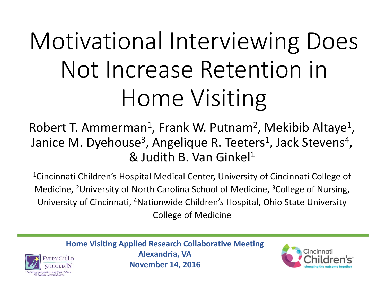# Motivational Interviewing Does Not Increase Retention in Home Visiting

Robert T. Ammerman<sup>1</sup>, Frank W. Putnam<sup>2</sup>, Mekibib Altaye<sup>1</sup>, Janice M. Dyehouse<sup>3</sup>, Angelique R. Teeters<sup>1</sup>, Jack Stevens<sup>4</sup>, & Judith B. Van Ginkel1

 $^{\rm 1}$ Cincinnati Children's Hospital Medical Center, University of Cincinnati College of Medicine, 2University of North Carolina School of Medicine, 3College of Nursing, University of Cincinnati, 4Nationwide Children's Hospital, Ohio State University College of Medicine

**Home Visiting Applied Research Collaborative Meeting Alexandria, VA VERY CHILD November 14, 2016**

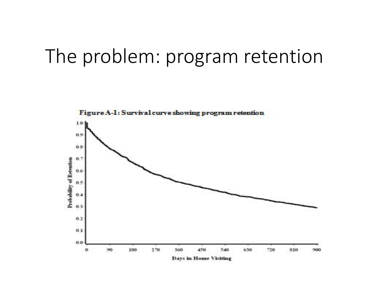#### The problem: program retention

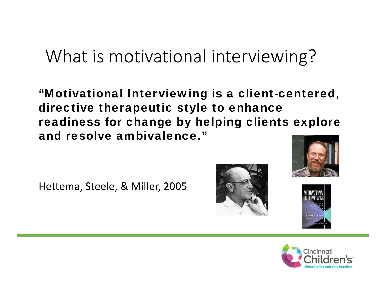#### What is motivational interviewing?

"Motivational Interviewing is a client-centered, directive therapeutic style to enhance readiness for change by helping clients explore and resolve ambivalence."

Hettema, Steele, & Miller, 2005







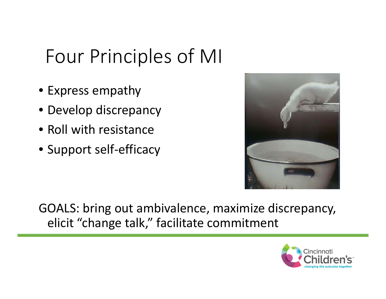## Four Principles of MI

- Express empathy
- Develop discrepancy
- Roll with resistance
- Support self‐efficacy



GOALS: bring out ambivalence, maximize discrepancy, elicit "change talk," facilitate commitment

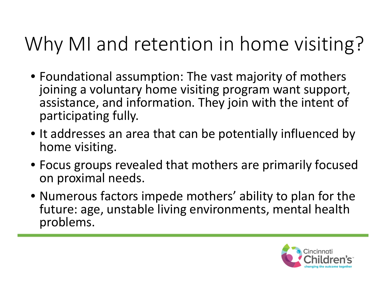## Why MI and retention in home visiting?

- Foundational assumption: The vast majority of mothers joining <sup>a</sup> voluntary home visiting program want support, assistance, and information. They join with the intent of participating fully.
- It addresses an area that can be potentially influenced by home visiting.
- Focus groups revealed that mothers are primarily focused on proximal needs.
- Numerous factors impede mothers' ability to plan for the future: age, unstable living environments, mental health problems.

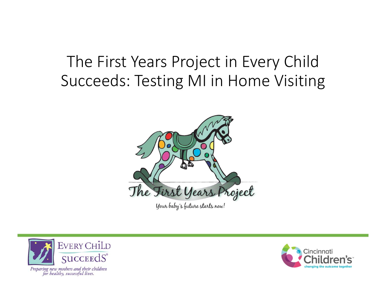#### The First Years Project in Every Child Succeeds: Testing MI in Home Visiting





Preparing new mothers and their children for healthy, successful lives.

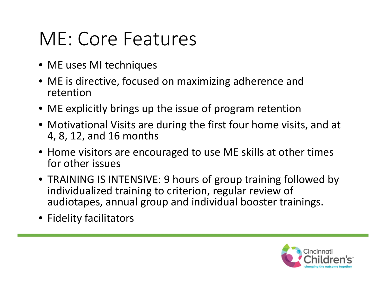## ME: Core Features

- ME uses MI techniques
- ME is directive, focused on maximizing adherence and retention
- ME explicitly brings up the issue of program retention
- Motivational Visits are during the first four home visits, and at 4, 8, 12, and 16 months
- Home visitors are encouraged to use ME skills at other times for other issues
- TRAINING IS INTENSIVE: 9 hours of group training followed by individualized training to criterion, regular review of audiotapes, annual group and individual booster trainings.
- Fidelity facilitators

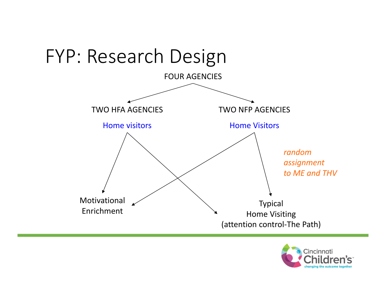

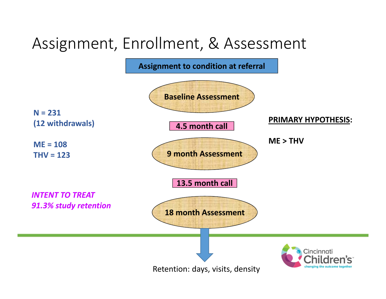#### Assignment, Enrollment, & Assessment

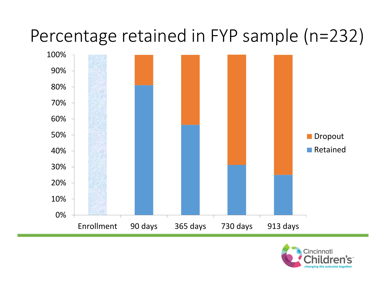### Percentage retained in FYP sample (n=232)



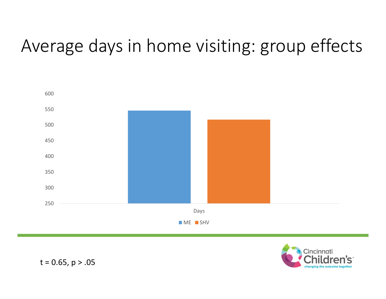## Average days in home visiting: group effects





t <sup>=</sup> 0.65, p <sup>&</sup>gt; .05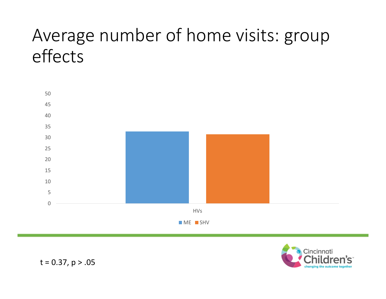### Average number of home visits: group effects





t <sup>=</sup> 0.37, p <sup>&</sup>gt; .05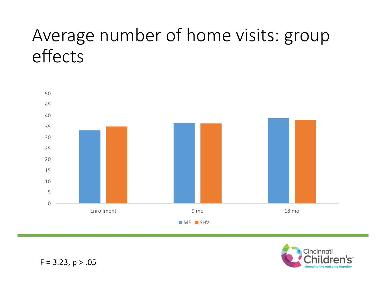### Average number of home visits: group effects





F <sup>=</sup> 3.23, p <sup>&</sup>gt; .05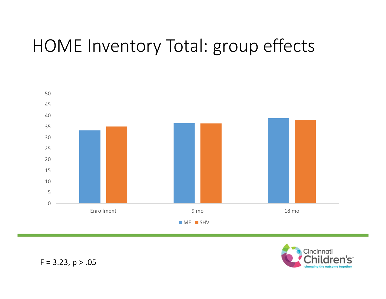#### HOME Inventory Total: group effects





F <sup>=</sup> 3.23, p <sup>&</sup>gt; .05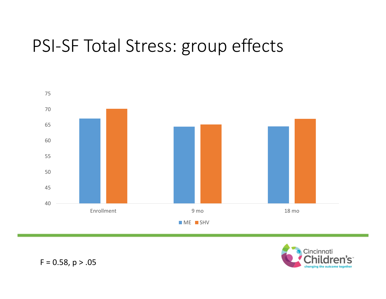### PSI‐SF Total Stress: group effects





F <sup>=</sup> 0.58, p <sup>&</sup>gt; .05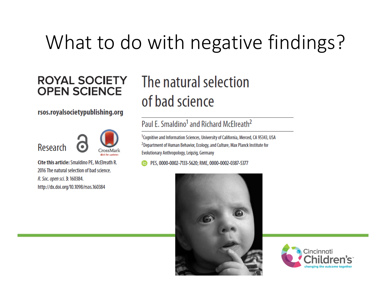## What to do with negative findings?

#### **ROYAL SOCIETY OPEN SCIENCE**

#### rsos.royalsocietypublishing.org





Cite this article: Smaldino PE, McElreath R. 2016 The natural selection of bad science. R. Soc. open sci. 3: 160384. http://dx.doi.org/10.1098/rsos.160384

#### The natural selection of bad science

#### Paul E. Smaldino<sup>1</sup> and Richard McElreath<sup>2</sup>

<sup>1</sup>Cognitive and Information Sciences, University of California, Merced, CA 95343, USA <sup>2</sup>Department of Human Behavior, Ecology, and Culture, Max Planck Institute for Evolutionary Anthropology, Leipzig, Germany

PES, 0000-0002-7133-5620; RME, 0000-0002-0387-5377



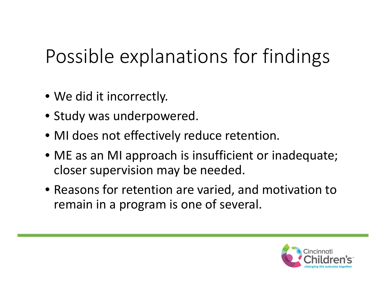## Possible explanations for findings

- We did it incorrectly.
- Study was underpowered.
- MI does not effectively reduce retention.
- ME as an MI approach is insufficient or inadequate; closer supervision may be needed.
- Reasons for retention are varied, and motivation to remain in <sup>a</sup> program is one of several.

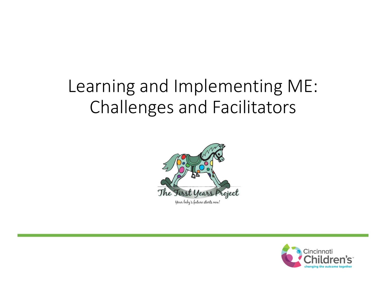### Learning and Implementing ME: Challenges and Facilitators



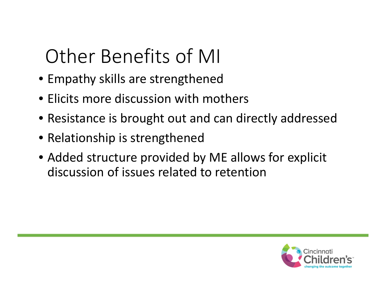## Other Benefits of MI

- Empathy skills are strengthened
- Elicits more discussion with mothers
- Resistance is brought out and can directly addressed
- Relationship is strengthened
- Added structure provided by ME allows for explicit discussion of issues related to retention

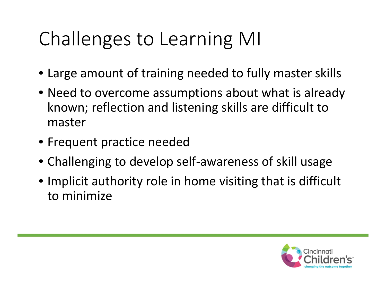## Challenges to Learning MI

- Large amount of training needed to fully master skills
- Need to overcome assumptions about what is already known; reflection and listening skills are difficult to master
- Frequent practice needed
- Challenging to develop self‐awareness of skill usage
- Implicit authority role in home visiting that is difficult to minimize

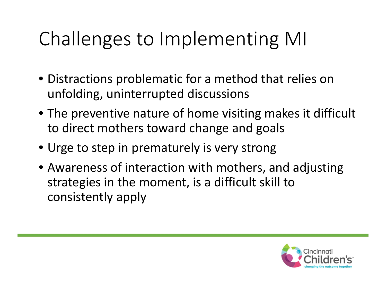## Challenges to Implementing MI

- Distractions problematic for <sup>a</sup> method that relies on unfolding, uninterrupted discussions
- The preventive nature of home visiting makes it difficult to direct mothers toward change and goals
- Urge to step in prematurely is very strong
- Awareness of interaction with mothers, and adjusting strategies in the moment, is <sup>a</sup> difficult skill to consistently apply

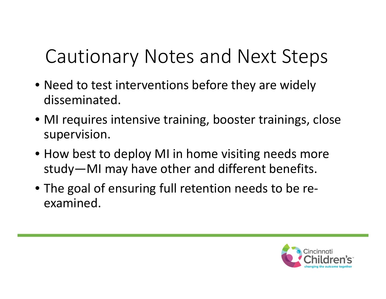## Cautionary Notes and Next Steps

- Need to test interventions before they are widely disseminated.
- MI requires intensive training, booster trainings, close supervision.
- How best to deploy MI in home visiting needs more study—MI may have other and different benefits.
- The goal of ensuring full retention needs to be re‐ examined.